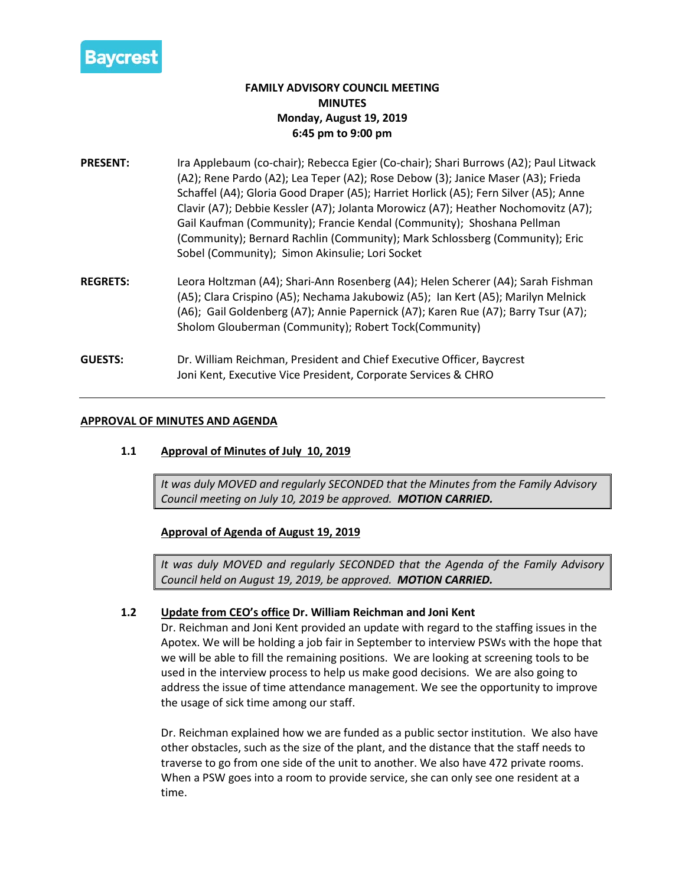

# **FAMILY ADVISORY COUNCIL MEETING MINUTES Monday, August 19, 2019 6:45 pm to 9:00 pm**

- **PRESENT:** Ira Applebaum (co-chair); Rebecca Egier (Co-chair); Shari Burrows (A2); Paul Litwack (A2); Rene Pardo (A2); Lea Teper (A2); Rose Debow (3); Janice Maser (A3); Frieda Schaffel (A4); Gloria Good Draper (A5); Harriet Horlick (A5); Fern Silver (A5); Anne Clavir (A7); Debbie Kessler (A7); Jolanta Morowicz (A7); Heather Nochomovitz (A7); Gail Kaufman (Community); Francie Kendal (Community); Shoshana Pellman (Community); Bernard Rachlin (Community); Mark Schlossberg (Community); Eric Sobel (Community); Simon Akinsulie; Lori Socket
- **REGRETS:** Leora Holtzman (A4); Shari-Ann Rosenberg (A4); Helen Scherer (A4); Sarah Fishman (A5); Clara Crispino (A5); Nechama Jakubowiz (A5); Ian Kert (A5); Marilyn Melnick (A6); Gail Goldenberg (A7); Annie Papernick (A7); Karen Rue (A7); Barry Tsur (A7); Sholom Glouberman (Community); Robert Tock(Community)
- **GUESTS:** Dr. William Reichman, President and Chief Executive Officer, Baycrest Joni Kent, Executive Vice President, Corporate Services & CHRO

## **APPROVAL OF MINUTES AND AGENDA**

# **1.1 Approval of Minutes of July 10, 2019**

*It was duly MOVED and regularly SECONDED that the Minutes from the Family Advisory Council meeting on July 10, 2019 be approved. MOTION CARRIED.*

**Approval of Agenda of August 19, 2019**

*It was duly MOVED and regularly SECONDED that the Agenda of the Family Advisory Council held on August 19, 2019, be approved. MOTION CARRIED.*

# **1.2 Update from CEO's office Dr. William Reichman and Joni Kent**

Dr. Reichman and Joni Kent provided an update with regard to the staffing issues in the Apotex. We will be holding a job fair in September to interview PSWs with the hope that we will be able to fill the remaining positions. We are looking at screening tools to be used in the interview process to help us make good decisions. We are also going to address the issue of time attendance management. We see the opportunity to improve the usage of sick time among our staff.

Dr. Reichman explained how we are funded as a public sector institution. We also have other obstacles, such as the size of the plant, and the distance that the staff needs to traverse to go from one side of the unit to another. We also have 472 private rooms. When a PSW goes into a room to provide service, she can only see one resident at a time.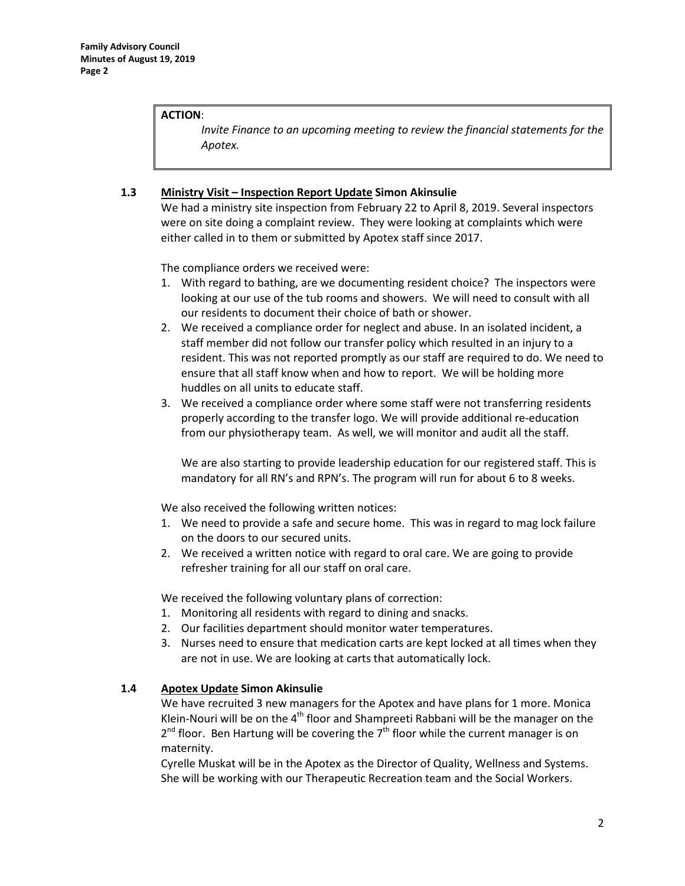## **ACTION**:

*Invite Finance to an upcoming meeting to review the financial statements for the Apotex.*

# **1.3 Ministry Visit – Inspection Report Update Simon Akinsulie**

We had a ministry site inspection from February 22 to April 8, 2019. Several inspectors were on site doing a complaint review. They were looking at complaints which were either called in to them or submitted by Apotex staff since 2017.

The compliance orders we received were:

- 1. With regard to bathing, are we documenting resident choice? The inspectors were looking at our use of the tub rooms and showers. We will need to consult with all our residents to document their choice of bath or shower.
- 2. We received a compliance order for neglect and abuse. In an isolated incident, a staff member did not follow our transfer policy which resulted in an injury to a resident. This was not reported promptly as our staff are required to do. We need to ensure that all staff know when and how to report. We will be holding more huddles on all units to educate staff.
- 3. We received a compliance order where some staff were not transferring residents properly according to the transfer logo. We will provide additional re-education from our physiotherapy team. As well, we will monitor and audit all the staff.

We are also starting to provide leadership education for our registered staff. This is mandatory for all RN's and RPN's. The program will run for about 6 to 8 weeks.

We also received the following written notices:

- 1. We need to provide a safe and secure home. This was in regard to mag lock failure on the doors to our secured units.
- 2. We received a written notice with regard to oral care. We are going to provide refresher training for all our staff on oral care.

We received the following voluntary plans of correction:

- 1. Monitoring all residents with regard to dining and snacks.
- 2. Our facilities department should monitor water temperatures.
- 3. Nurses need to ensure that medication carts are kept locked at all times when they are not in use. We are looking at carts that automatically lock.

# **1.4 Apotex Update Simon Akinsulie**

We have recruited 3 new managers for the Apotex and have plans for 1 more. Monica Klein-Nouri will be on the 4<sup>th</sup> floor and Shampreeti Rabbani will be the manager on the  $2<sup>nd</sup>$  floor. Ben Hartung will be covering the  $7<sup>th</sup>$  floor while the current manager is on maternity.

Cyrelle Muskat will be in the Apotex as the Director of Quality, Wellness and Systems. She will be working with our Therapeutic Recreation team and the Social Workers.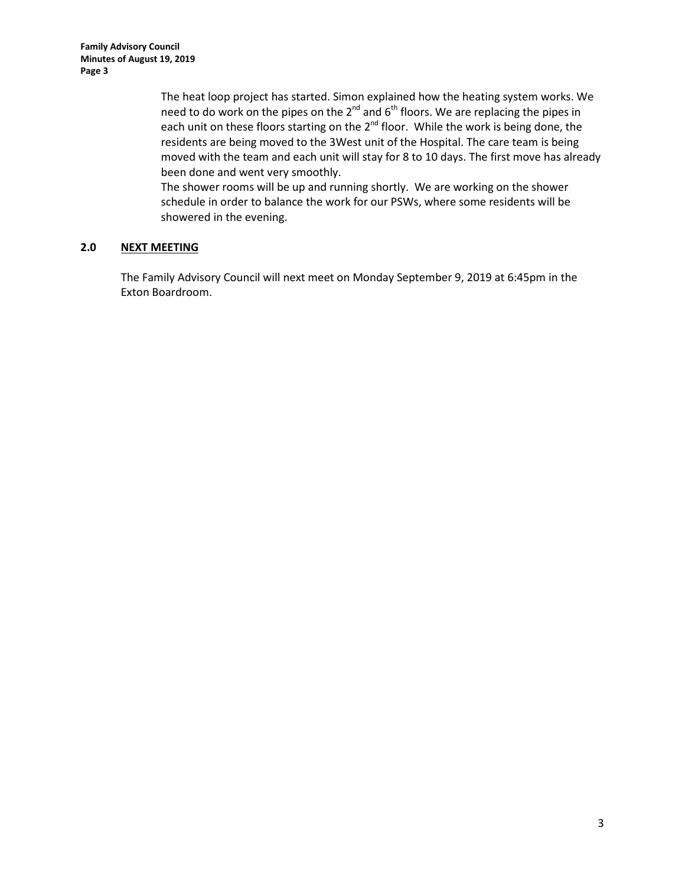The heat loop project has started. Simon explained how the heating system works. We need to do work on the pipes on the  $2^{nd}$  and  $6^{th}$  floors. We are replacing the pipes in each unit on these floors starting on the  $2^{nd}$  floor. While the work is being done, the residents are being moved to the 3West unit of the Hospital. The care team is being moved with the team and each unit will stay for 8 to 10 days. The first move has already been done and went very smoothly.

The shower rooms will be up and running shortly. We are working on the shower schedule in order to balance the work for our PSWs, where some residents will be showered in the evening.

# **2.0 NEXT MEETING**

The Family Advisory Council will next meet on Monday September 9, 2019 at 6:45pm in the Exton Boardroom.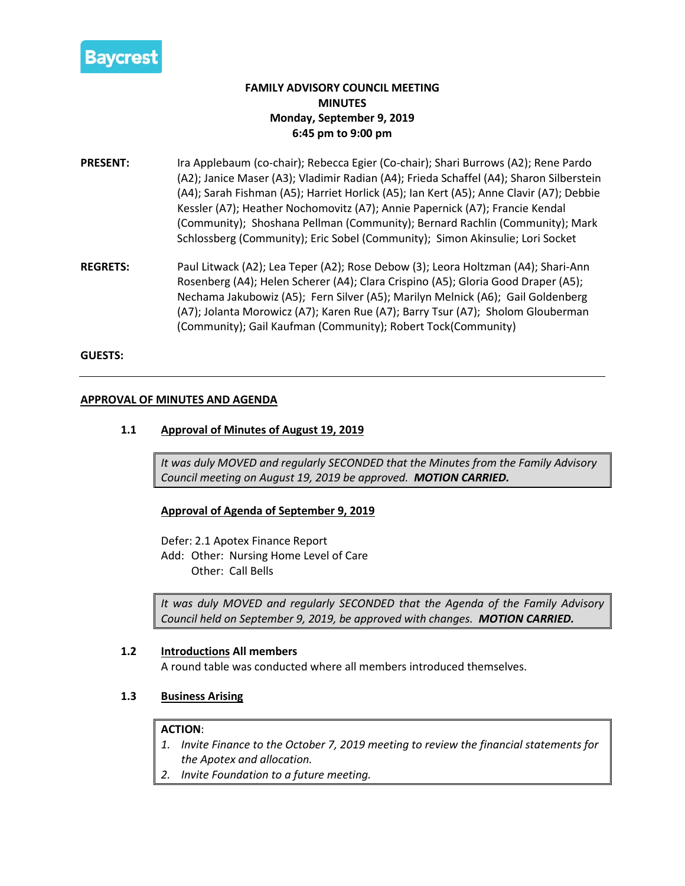

# **FAMILY ADVISORY COUNCIL MEETING MINUTES Monday, September 9, 2019 6:45 pm to 9:00 pm**

- **PRESENT:** Ira Applebaum (co-chair); Rebecca Egier (Co-chair); Shari Burrows (A2); Rene Pardo (A2); Janice Maser (A3); Vladimir Radian (A4); Frieda Schaffel (A4); Sharon Silberstein (A4); Sarah Fishman (A5); Harriet Horlick (A5); Ian Kert (A5); Anne Clavir (A7); Debbie Kessler (A7); Heather Nochomovitz (A7); Annie Papernick (A7); Francie Kendal (Community); Shoshana Pellman (Community); Bernard Rachlin (Community); Mark Schlossberg (Community); Eric Sobel (Community); Simon Akinsulie; Lori Socket
- **REGRETS:** Paul Litwack (A2); Lea Teper (A2); Rose Debow (3); Leora Holtzman (A4); Shari-Ann Rosenberg (A4); Helen Scherer (A4); Clara Crispino (A5); Gloria Good Draper (A5); Nechama Jakubowiz (A5); Fern Silver (A5); Marilyn Melnick (A6); Gail Goldenberg (A7); Jolanta Morowicz (A7); Karen Rue (A7); Barry Tsur (A7); Sholom Glouberman (Community); Gail Kaufman (Community); Robert Tock(Community)

#### **GUESTS:**

## **APPROVAL OF MINUTES AND AGENDA**

## **1.1 Approval of Minutes of August 19, 2019**

*It was duly MOVED and regularly SECONDED that the Minutes from the Family Advisory Council meeting on August 19, 2019 be approved. MOTION CARRIED.*

#### **Approval of Agenda of September 9, 2019**

Defer: 2.1 Apotex Finance Report

Add: Other: Nursing Home Level of Care Other: Call Bells

*It was duly MOVED and regularly SECONDED that the Agenda of the Family Advisory Council held on September 9, 2019, be approved with changes. MOTION CARRIED.*

### **1.2 Introductions All members**

A round table was conducted where all members introduced themselves.

#### **1.3 Business Arising**

#### **ACTION**:

- *1. Invite Finance to the October 7, 2019 meeting to review the financial statements for the Apotex and allocation.*
- *2. Invite Foundation to a future meeting.*